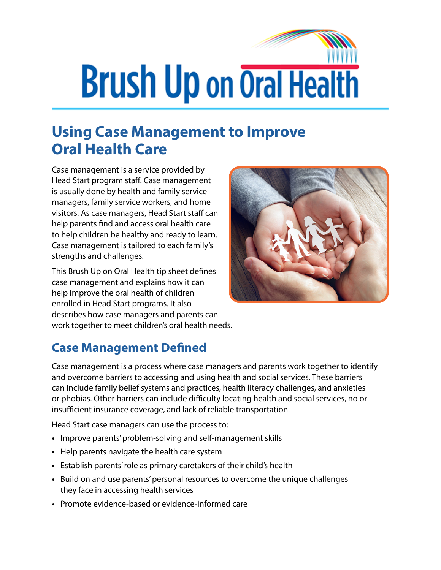## **Brush Up on Oral Health**

## **Using Case Management to Improve Oral Health Care**

Case management is a service provided by Head Start program staff. Case management is usually done by health and family service managers, family service workers, and home visitors. As case managers, Head Start staff can help parents find and access oral health care to help children be healthy and ready to learn. Case management is tailored to each family's strengths and challenges.

This Brush Up on Oral Health tip sheet defines case management and explains how it can help improve the oral health of children enrolled in Head Start programs. It also describes how case managers and parents can work together to meet children's oral health needs.



## **Case Management Defined**

Case management is a process where case managers and parents work together to identify and overcome barriers to accessing and using health and social services. These barriers can include family belief systems and practices, health literacy challenges, and anxieties or phobias. Other barriers can include difficulty locating health and social services, no or insufficient insurance coverage, and lack of reliable transportation.

Head Start case managers can use the process to:

- **•** Improve parents' problem-solving and self-management skills
- **•** Help parents navigate the health care system
- **•** Establish parents' role as primary caretakers of their child's health
- **•** Build on and use parents' personal resources to overcome the unique challenges they face in accessing health services
- **•** Promote evidence-based or evidence-informed care